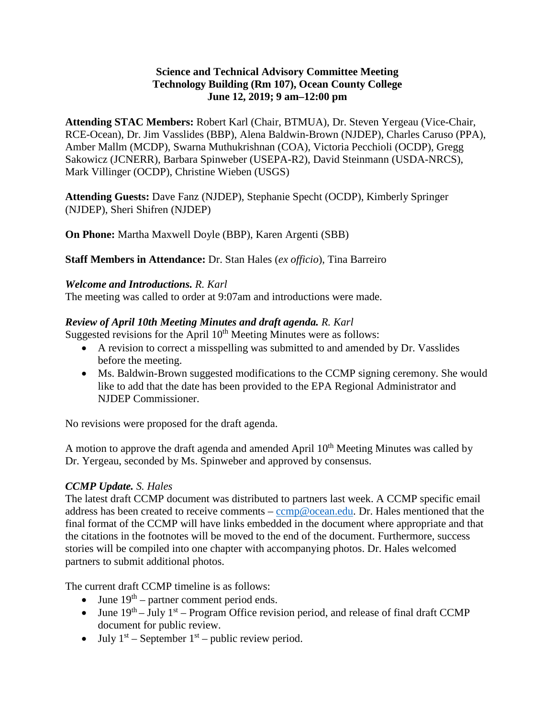#### **Science and Technical Advisory Committee Meeting Technology Building (Rm 107), Ocean County College June 12, 2019; 9 am–12:00 pm**

**Attending STAC Members:** Robert Karl (Chair, BTMUA), Dr. Steven Yergeau (Vice-Chair, RCE-Ocean), Dr. Jim Vasslides (BBP), Alena Baldwin-Brown (NJDEP), Charles Caruso (PPA), Amber Mallm (MCDP), Swarna Muthukrishnan (COA), Victoria Pecchioli (OCDP), Gregg Sakowicz (JCNERR), Barbara Spinweber (USEPA-R2), David Steinmann (USDA-NRCS), Mark Villinger (OCDP), Christine Wieben (USGS)

**Attending Guests:** Dave Fanz (NJDEP), Stephanie Specht (OCDP), Kimberly Springer (NJDEP), Sheri Shifren (NJDEP)

**On Phone:** Martha Maxwell Doyle (BBP), Karen Argenti (SBB)

**Staff Members in Attendance:** Dr. Stan Hales (*ex officio*), Tina Barreiro

# *Welcome and Introductions. R. Karl*

The meeting was called to order at 9:07am and introductions were made.

# *Review of April 10th Meeting Minutes and draft agenda. R. Karl*

Suggested revisions for the April  $10<sup>th</sup>$  Meeting Minutes were as follows:

- A revision to correct a misspelling was submitted to and amended by Dr. Vasslides before the meeting.
- Ms. Baldwin-Brown suggested modifications to the CCMP signing ceremony. She would like to add that the date has been provided to the EPA Regional Administrator and NJDEP Commissioner.

No revisions were proposed for the draft agenda.

A motion to approve the draft agenda and amended April  $10<sup>th</sup>$  Meeting Minutes was called by Dr. Yergeau, seconded by Ms. Spinweber and approved by consensus.

# *CCMP Update. S. Hales*

The latest draft CCMP document was distributed to partners last week. A CCMP specific email address has been created to receive comments – [ccmp@ocean.edu.](mailto:ccmp@ocean.edu) Dr. Hales mentioned that the final format of the CCMP will have links embedded in the document where appropriate and that the citations in the footnotes will be moved to the end of the document. Furthermore, success stories will be compiled into one chapter with accompanying photos. Dr. Hales welcomed partners to submit additional photos.

The current draft CCMP timeline is as follows:

- June  $19<sup>th</sup>$  partner comment period ends.
- June  $19^{th}$  July  $1^{st}$  Program Office revision period, and release of final draft CCMP document for public review.
- July  $1<sup>st</sup>$  September  $1<sup>st</sup>$  public review period.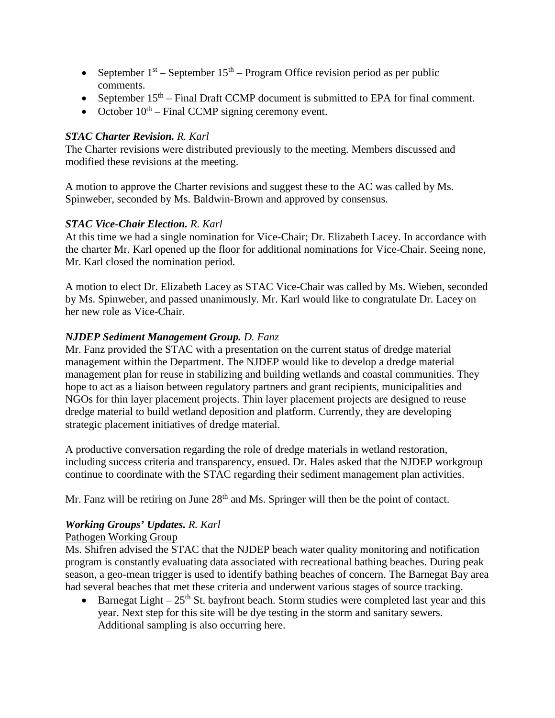- September  $1<sup>st</sup>$  September  $15<sup>th</sup>$  Program Office revision period as per public comments.
- September  $15<sup>th</sup>$  Final Draft CCMP document is submitted to EPA for final comment.
- October  $10^{th}$  Final CCMP signing ceremony event.

# *STAC Charter Revision. R. Karl*

The Charter revisions were distributed previously to the meeting. Members discussed and modified these revisions at the meeting.

A motion to approve the Charter revisions and suggest these to the AC was called by Ms. Spinweber, seconded by Ms. Baldwin-Brown and approved by consensus.

# *STAC Vice-Chair Election. R. Karl*

At this time we had a single nomination for Vice-Chair; Dr. Elizabeth Lacey. In accordance with the charter Mr. Karl opened up the floor for additional nominations for Vice-Chair. Seeing none, Mr. Karl closed the nomination period.

A motion to elect Dr. Elizabeth Lacey as STAC Vice-Chair was called by Ms. Wieben, seconded by Ms. Spinweber, and passed unanimously. Mr. Karl would like to congratulate Dr. Lacey on her new role as Vice-Chair.

# *NJDEP Sediment Management Group. D. Fanz*

Mr. Fanz provided the STAC with a presentation on the current status of dredge material management within the Department. The NJDEP would like to develop a dredge material management plan for reuse in stabilizing and building wetlands and coastal communities. They hope to act as a liaison between regulatory partners and grant recipients, municipalities and NGOs for thin layer placement projects. Thin layer placement projects are designed to reuse dredge material to build wetland deposition and platform. Currently, they are developing strategic placement initiatives of dredge material.

A productive conversation regarding the role of dredge materials in wetland restoration, including success criteria and transparency, ensued. Dr. Hales asked that the NJDEP workgroup continue to coordinate with the STAC regarding their sediment management plan activities.

Mr. Fanz will be retiring on June  $28<sup>th</sup>$  and Ms. Springer will then be the point of contact.

# *Working Groups' Updates. R. Karl*

# Pathogen Working Group

Ms. Shifren advised the STAC that the NJDEP beach water quality monitoring and notification program is constantly evaluating data associated with recreational bathing beaches. During peak season, a geo-mean trigger is used to identify bathing beaches of concern. The Barnegat Bay area had several beaches that met these criteria and underwent various stages of source tracking.

• Barnegat Light –  $25<sup>th</sup>$  St. bayfront beach. Storm studies were completed last year and this year. Next step for this site will be dye testing in the storm and sanitary sewers. Additional sampling is also occurring here.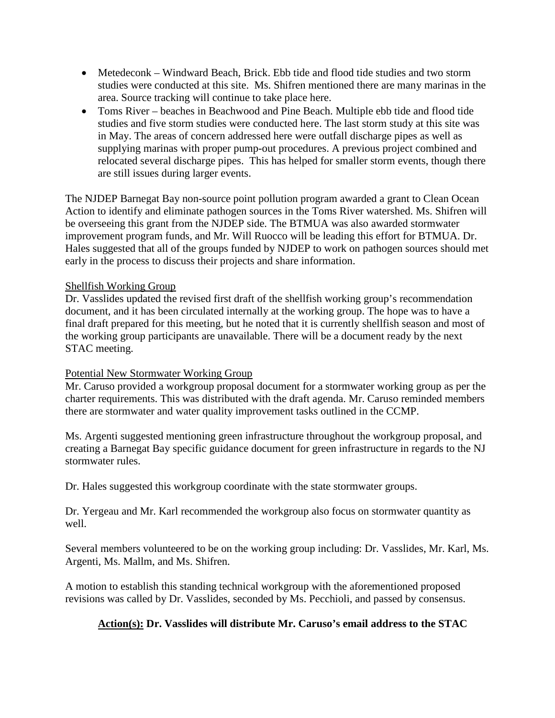- Metedeconk Windward Beach, Brick. Ebb tide and flood tide studies and two storm studies were conducted at this site. Ms. Shifren mentioned there are many marinas in the area. Source tracking will continue to take place here.
- Toms River beaches in Beachwood and Pine Beach. Multiple ebb tide and flood tide studies and five storm studies were conducted here. The last storm study at this site was in May. The areas of concern addressed here were outfall discharge pipes as well as supplying marinas with proper pump-out procedures. A previous project combined and relocated several discharge pipes. This has helped for smaller storm events, though there are still issues during larger events.

The NJDEP Barnegat Bay non-source point pollution program awarded a grant to Clean Ocean Action to identify and eliminate pathogen sources in the Toms River watershed. Ms. Shifren will be overseeing this grant from the NJDEP side. The BTMUA was also awarded stormwater improvement program funds, and Mr. Will Ruocco will be leading this effort for BTMUA. Dr. Hales suggested that all of the groups funded by NJDEP to work on pathogen sources should met early in the process to discuss their projects and share information.

#### Shellfish Working Group

Dr. Vasslides updated the revised first draft of the shellfish working group's recommendation document, and it has been circulated internally at the working group. The hope was to have a final draft prepared for this meeting, but he noted that it is currently shellfish season and most of the working group participants are unavailable. There will be a document ready by the next STAC meeting.

# Potential New Stormwater Working Group

Mr. Caruso provided a workgroup proposal document for a stormwater working group as per the charter requirements. This was distributed with the draft agenda. Mr. Caruso reminded members there are stormwater and water quality improvement tasks outlined in the CCMP.

Ms. Argenti suggested mentioning green infrastructure throughout the workgroup proposal, and creating a Barnegat Bay specific guidance document for green infrastructure in regards to the NJ stormwater rules.

Dr. Hales suggested this workgroup coordinate with the state stormwater groups.

Dr. Yergeau and Mr. Karl recommended the workgroup also focus on stormwater quantity as well.

Several members volunteered to be on the working group including: Dr. Vasslides, Mr. Karl, Ms. Argenti, Ms. Mallm, and Ms. Shifren.

A motion to establish this standing technical workgroup with the aforementioned proposed revisions was called by Dr. Vasslides, seconded by Ms. Pecchioli, and passed by consensus.

# **Action(s): Dr. Vasslides will distribute Mr. Caruso's email address to the STAC**